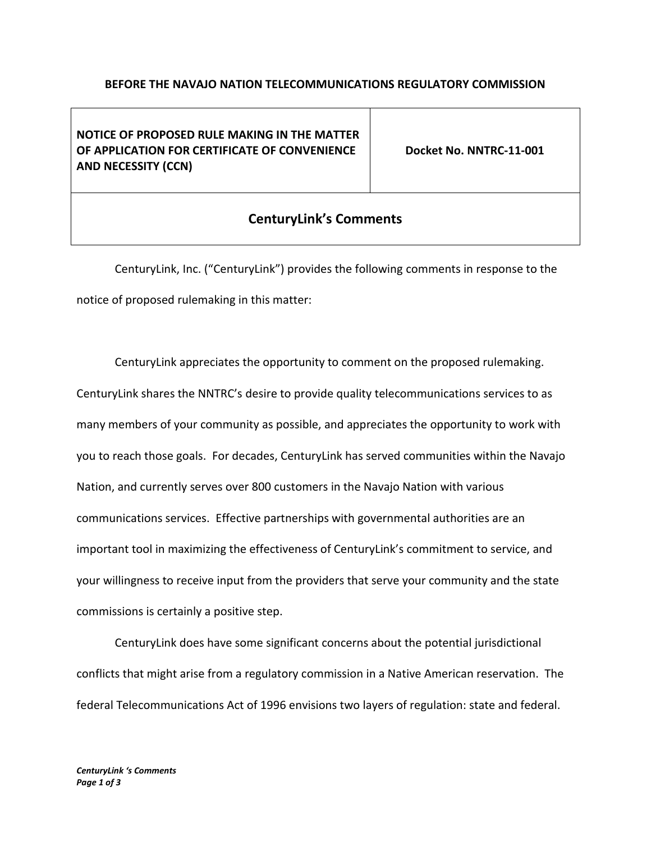## **BEFORE THE NAVAJO NATION TELECOMMUNICATIONS REGULATORY COMMISSION**

**NOTICE OF PROPOSED RULE MAKING IN THE MATTER OF APPLICATION FOR CERTIFICATE OF CONVENIENCE AND NECESSITY (CCN)**

**Docket No. NNTRC-11-001**

## **CenturyLink's Comments**

CenturyLink, Inc. ("CenturyLink") provides the following comments in response to the notice of proposed rulemaking in this matter:

CenturyLink appreciates the opportunity to comment on the proposed rulemaking. CenturyLink shares the NNTRC's desire to provide quality telecommunications services to as many members of your community as possible, and appreciates the opportunity to work with you to reach those goals. For decades, CenturyLink has served communities within the Navajo Nation, and currently serves over 800 customers in the Navajo Nation with various communications services. Effective partnerships with governmental authorities are an important tool in maximizing the effectiveness of CenturyLink's commitment to service, and your willingness to receive input from the providers that serve your community and the state commissions is certainly a positive step.

CenturyLink does have some significant concerns about the potential jurisdictional conflicts that might arise from a regulatory commission in a Native American reservation. The federal Telecommunications Act of 1996 envisions two layers of regulation: state and federal.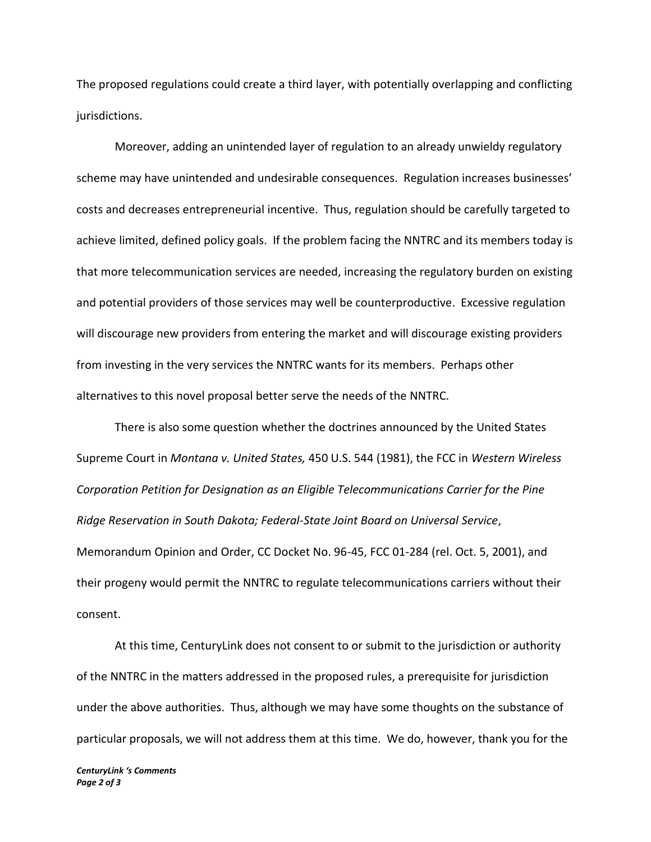The proposed regulations could create a third layer, with potentially overlapping and conflicting jurisdictions.

Moreover, adding an unintended layer of regulation to an already unwieldy regulatory scheme may have unintended and undesirable consequences. Regulation increases businesses' costs and decreases entrepreneurial incentive. Thus, regulation should be carefully targeted to achieve limited, defined policy goals. If the problem facing the NNTRC and its members today is that more telecommunication services are needed, increasing the regulatory burden on existing and potential providers of those services may well be counterproductive. Excessive regulation will discourage new providers from entering the market and will discourage existing providers from investing in the very services the NNTRC wants for its members. Perhaps other alternatives to this novel proposal better serve the needs of the NNTRC.

There is also some question whether the doctrines announced by the United States Supreme Court in *Montana v. United States,* 450 U.S. 544 (1981), the FCC in *Western Wireless Corporation Petition for Designation as an Eligible Telecommunications Carrier for the Pine Ridge Reservation in South Dakota; Federal-State Joint Board on Universal Service*, Memorandum Opinion and Order, CC Docket No. 96-45, FCC 01-284 (rel. Oct. 5, 2001), and their progeny would permit the NNTRC to regulate telecommunications carriers without their consent.

At this time, CenturyLink does not consent to or submit to the jurisdiction or authority of the NNTRC in the matters addressed in the proposed rules, a prerequisite for jurisdiction under the above authorities. Thus, although we may have some thoughts on the substance of particular proposals, we will not address them at this time. We do, however, thank you for the